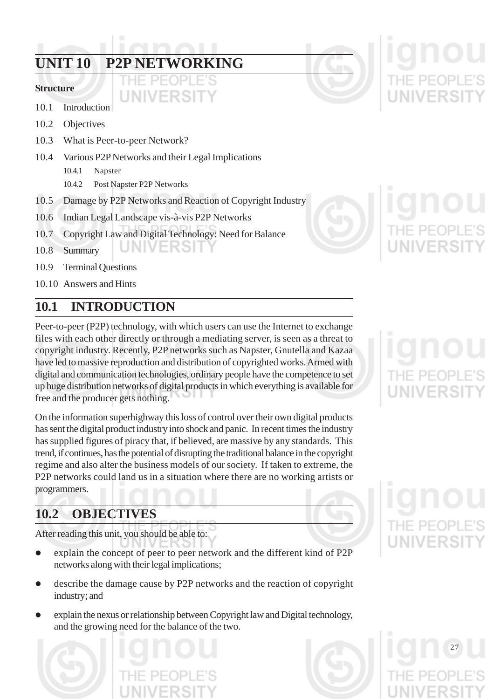## **UNIT 10 P2P NETWORKING**

### **Structure**

### 10.1 Introduction

- 10.2 Objectives
- 10.3 What is Peer-to-peer Network?
- 10.4 Various P2P Networks and their Legal Implications
	- 10.4.1 Napster
	- 10.4.2 Post Napster P2P Networks
- 10.5 Damage by P2P Networks and Reaction of Copyright Industry
- 10.6 Indian Legal Landscape vis-à-vis P2P Networks
- 10.7 Copyright Law and Digital Technology: Need for Balance INIVERSI
- 10.8 Summary
- 10.9 Terminal Questions
- 10.10 Answers and Hints

## **10.1 INTRODUCTION**

Peer-to-peer (P2P) technology, with which users can use the Internet to exchange files with each other directly or through a mediating server, is seen as a threat to copyright industry. Recently, P2P networks such as Napster, Gnutella and Kazaa have led to massive reproduction and distribution of copyrighted works. Armed with digital and communication technologies, ordinary people have the competence to set up huge distribution networks of digital products in which everything is available for free and the producer gets nothing.

On the information superhighway this loss of control over their own digital products has sent the digital product industry into shock and panic. In recent times the industry has supplied figures of piracy that, if believed, are massive by any standards. This trend, if continues, has the potential of disrupting the traditional balance in the copyright regime and also alter the business models of our society. If taken to extreme, the P2P networks could land us in a situation where there are no working artists or programmers.

## **10.2 OBJECTIVES**

After reading this unit, you should be able to:

- explain the concept of peer to peer network and the different kind of P2P networks along with their legal implications;
- describe the damage cause by P2P networks and the reaction of copyright industry; and
- z explain the nexus or relationship between Copyright law and Digital technology, and the growing need for the balance of the two.









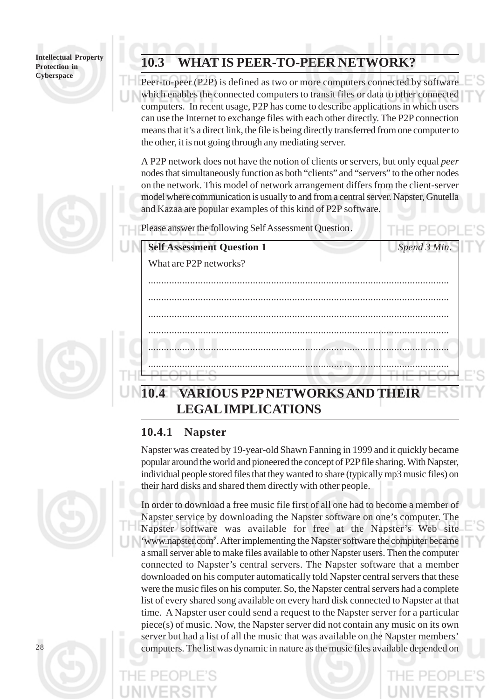## **10.3 WHAT IS PEER-TO-PEER NETWORK?**

Peer-to-peer (P2P) is defined as two or more computers connected by software which enables the connected computers to transit files or data to other connected computers. In recent usage, P2P has come to describe applications in which users can use the Internet to exchange files with each other directly. The P2P connection means that it's a direct link, the file is being directly transferred from one computer to the other, it is not going through any mediating server.

A P2P network does not have the notion of clients or servers, but only equal *peer* nodes that simultaneously function as both "clients" and "servers" to the other nodes on the network. This model of network arrangement differs from the client-server model where communication is usually to and from a central server. Napster, Gnutella and Kazaa are popular examples of this kind of P2P software.

...................................................................................................................

...................................................................................................................

...................................................................................................................

...................................................................................................................

...................................................................................................................

...................................................................................................................

Please answer the following Self Assessment Question.

**Self Assessment Question 1** *Spend 3 Min.*

## **10.4 VARIOUS P2P NETWORKS AND THEIR LEGAL IMPLICATIONS**

## **10.4.1 Napster**

What are P2P networks?

Napster was created by 19-year-old Shawn Fanning in 1999 and it quickly became popular around the world and pioneered the concept of P2P file sharing. With Napster, individual people stored files that they wanted to share (typically mp3 music files) on their hard disks and shared them directly with other people.



In order to download a free music file first of all one had to become a member of Napster service by downloading the Napster software on one's computer. The Napster software was available for free at the Napster's Web site 'www.napster.com'. After implementing the Napster software the computer became a small server able to make files available to other Napster users. Then the computer connected to Napster's central servers. The Napster software that a member downloaded on his computer automatically told Napster central servers that these were the music files on his computer. So, the Napster central servers had a complete list of every shared song available on every hard disk connected to Napster at that time. A Napster user could send a request to the Napster server for a particular piece(s) of music. Now, the Napster server did not contain any music on its own server but had a list of all the music that was available on the Napster members' computers. The list was dynamic in nature as the music files available depended on

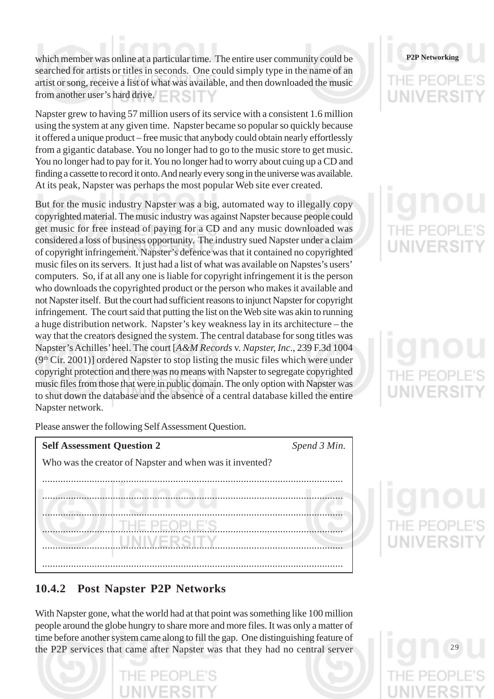which member was online at a particular time. The entire user community could be searched for artists or titles in seconds. One could simply type in the name of an artist or song, receive a list of what was available, and then downloaded the music from another user's hard drive.

Napster grew to having 57 million users of its service with a consistent 1.6 million using the system at any given time. Napster became so popular so quickly because it offered a unique product – free music that anybody could obtain nearly effortlessly from a gigantic database. You no longer had to go to the music store to get music. You no longer had to pay for it. You no longer had to worry about cuing up a CD and finding a cassette to record it onto. And nearly every song in the universe was available. At its peak, Napster was perhaps the most popular Web site ever created.

But for the music industry Napster was a big, automated way to illegally copy copyrighted material. The music industry was against Napster because people could get music for free instead of paying for a CD and any music downloaded was considered a loss of business opportunity. The industry sued Napster under a claim of copyright infringement. Napster's defence was that it contained no copyrighted music files on its servers. It just had a list of what was available on Napstes's users' computers. So, if at all any one is liable for copyright infringement it is the person who downloads the copyrighted product or the person who makes it available and not Napster itself. But the court had sufficient reasons to injunct Napster for copyright infringement. The court said that putting the list on the Web site was akin to running a huge distribution network. Napster's key weakness lay in its architecture – the way that the creators designed the system. The central database for song titles was Napster's Achilles' heel. The court [*A&M Records* v. *Napster, Inc*., 239 F.3d 1004  $(9<sup>th</sup> Cir. 2001)$ ] ordered Napster to stop listing the music files which were under copyright protection and there was no means with Napster to segregate copyrighted music files from those that were in public domain. The only option with Napster was to shut down the database and the absence of a central database killed the entire Napster network.

## **P2P Networking**

Please answer the following Self Assessment Question.

| <b>Self Assessment Question 2</b>                        | Spend 3 Min. |
|----------------------------------------------------------|--------------|
| Who was the creator of Napster and when was it invented? |              |
|                                                          |              |
|                                                          |              |
|                                                          |              |
| THE PEOPLE'S                                             |              |
| -RSD                                                     |              |
|                                                          |              |
|                                                          |              |

## **10.4.2 Post Napster P2P Networks**

With Napster gone, what the world had at that point was something like 100 million people around the globe hungry to share more and more files. It was only a matter of time before another system came along to fill the gap. One distinguishing feature of the P2P services that came after Napster was that they had no central server



29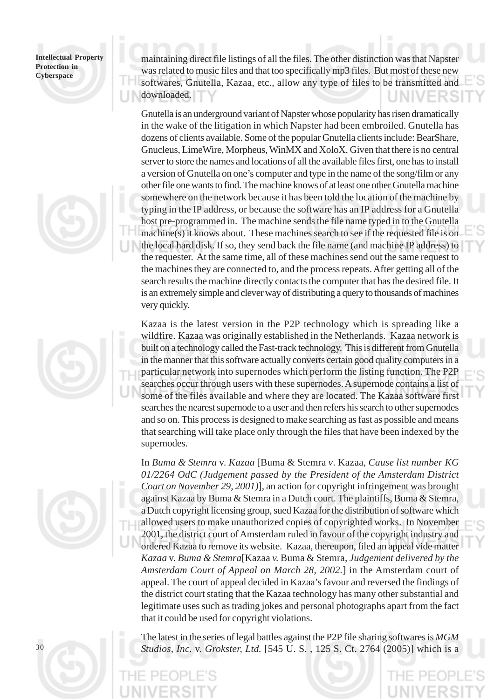





maintaining direct file listings of all the files. The other distinction was that Napster was related to music files and that too specifically mp3 files. But most of these new softwares, Gnutella, Kazaa, etc., allow any type of files to be transmitted and downloaded.

Gnutella is an underground variant of Napster whose popularity has risen dramatically in the wake of the litigation in which Napster had been embroiled. Gnutella has dozens of clients available. Some of the popular Gnutella clients include: BearShare, Gnucleus, LimeWire, Morpheus, WinMX and XoloX. Given that there is no central server to store the names and locations of all the available files first, one has to install a version of Gnutella on one's computer and type in the name of the song/film or any other file one wants to find. The machine knows of at least one other Gnutella machine somewhere on the network because it has been told the location of the machine by typing in the IP address, or because the software has an IP address for a Gnutella host pre-programmed in. The machine sends the file name typed in to the Gnutella machine(s) it knows about. These machines search to see if the requested file is on the local hard disk. If so, they send back the file name (and machine IP address) to the requester. At the same time, all of these machines send out the same request to the machines they are connected to, and the process repeats. After getting all of the search results the machine directly contacts the computer that has the desired file. It is an extremely simple and clever way of distributing a query to thousands of machines very quickly.

Kazaa is the latest version in the P2P technology which is spreading like a wildfire. Kazaa was originally established in the Netherlands. Kazaa network is built on a technology called the Fast-track technology. This is different from Gnutella in the manner that this software actually converts certain good quality computers in a particular network into supernodes which perform the listing function. The P2P searches occur through users with these supernodes. A supernode contains a list of some of the files available and where they are located. The Kazaa software first searches the nearest supernode to a user and then refers his search to other supernodes and so on. This process is designed to make searching as fast as possible and means that searching will take place only through the files that have been indexed by the supernodes.

In *Buma & Stemra* v. *Kazaa* [Buma & Stemra *v*. Kazaa*, Cause list number KG 01/2264 OdC (Judgement passed by the President of the Amsterdam District Court on November 29, 2001)*], an action for copyright infringement was brought against Kazaa by Buma & Stemra in a Dutch court. The plaintiffs, Buma & Stemra, a Dutch copyright licensing group, sued Kazaa for the distribution of software which allowed users to make unauthorized copies of copyrighted works. In November 2001, the district court of Amsterdam ruled in favour of the copyright industry and ordered Kazaa to remove its website. Kazaa, thereupon, filed an appeal vide matter *Kazaa* v. *Buma & Stemra*[Kazaa *v.* Buma & Stemra*, Judgement delivered by the Amsterdam Court of Appeal on March 28, 2002.*] in the Amsterdam court of appeal. The court of appeal decided in Kazaa's favour and reversed the findings of the district court stating that the Kazaa technology has many other substantial and legitimate uses such as trading jokes and personal photographs apart from the fact that it could be used for copyright violations.

30

The latest in the series of legal battles against the P2P file sharing softwares is *MGM Studios, Inc.* v. *Grokster, Ltd.* [545 U. S. , 125 S. Ct. 2764 (2005)] which is a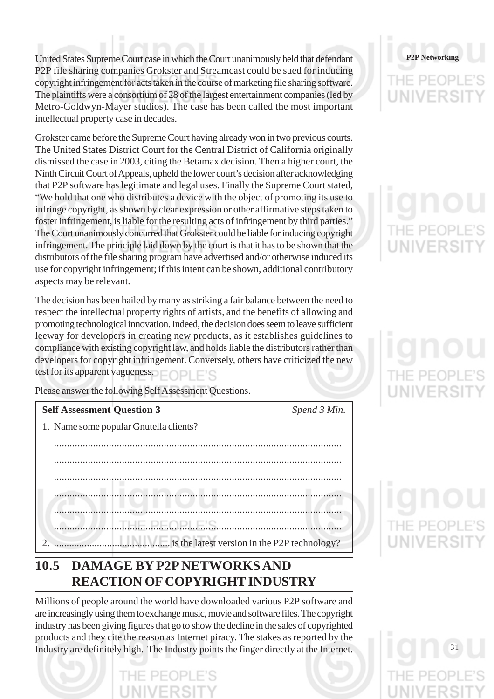United States Supreme Court case in which the Court unanimously held that defendant P2P file sharing companies Grokster and Streamcast could be sued for inducing copyright infringement for acts taken in the course of marketing file sharing software. The plaintiffs were a consortium of 28 of the largest entertainment companies (led by Metro-Goldwyn-Mayer studios). The case has been called the most important intellectual property case in decades.

Grokster came before the Supreme Court having already won in two previous courts. The United States District Court for the Central District of California originally dismissed the case in 2003, citing the Betamax decision. Then a higher court, the Ninth Circuit Court of Appeals, upheld the lower court's decision after acknowledging that P2P software has legitimate and legal uses. Finally the Supreme Court stated, "We hold that one who distributes a device with the object of promoting its use to infringe copyright, as shown by clear expression or other affirmative steps taken to foster infringement, is liable for the resulting acts of infringement by third parties." The Court unanimously concurred that Grokster could be liable for inducing copyright infringement. The principle laid down by the court is that it has to be shown that the distributors of the file sharing program have advertised and/or otherwise induced its use for copyright infringement; if this intent can be shown, additional contributory aspects may be relevant.

The decision has been hailed by many as striking a fair balance between the need to respect the intellectual property rights of artists, and the benefits of allowing and promoting technological innovation. Indeed, the decision does seem to leave sufficient leeway for developers in creating new products, as it establishes guidelines to compliance with existing copyright law, and holds liable the distributors rather than developers for copyright infringement. Conversely, others have criticized the new test for its apparent vagueness.

Please answer the following Self Assessment Questions.

| <b>Self Assessment Question 3</b>      | Spend 3 Min. |
|----------------------------------------|--------------|
| 1. Name some popular Gnutella clients? |              |
|                                        |              |
|                                        |              |
|                                        |              |
|                                        |              |
|                                        |              |
|                                        |              |
|                                        |              |

## **10.5 DAMAGE BY P2P NETWORKS AND REACTION OF COPYRIGHT INDUSTRY**

Millions of people around the world have downloaded various P2P software and are increasingly using them to exchange music, movie and software files. The copyright industry has been giving figures that go to show the decline in the sales of copyrighted products and they cite the reason as Internet piracy. The stakes as reported by the Industry are definitely high. The Industry points the finger directly at the Internet.



# UNIVERSI

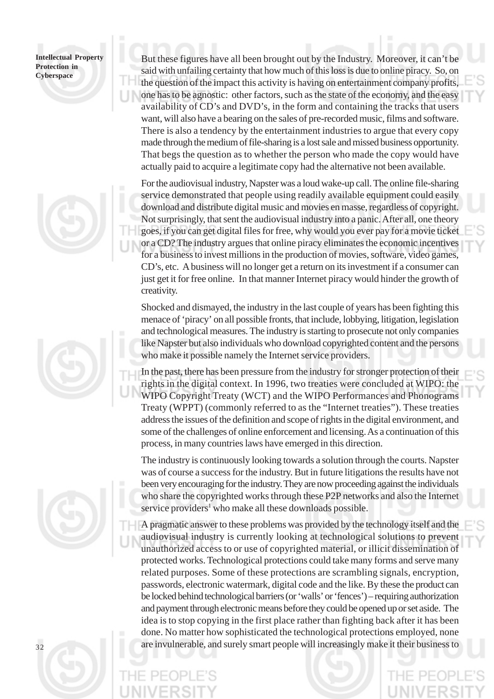





But these figures have all been brought out by the Industry. Moreover, it can't be said with unfailing certainty that how much of this loss is due to online piracy. So, on the question of the impact this activity is having on entertainment company profits, one has to be agnostic: other factors, such as the state of the economy, and the easy availability of CD's and DVD's, in the form and containing the tracks that users want, will also have a bearing on the sales of pre-recorded music, films and software. There is also a tendency by the entertainment industries to argue that every copy made through the medium of file-sharing is a lost sale and missed business opportunity. That begs the question as to whether the person who made the copy would have actually paid to acquire a legitimate copy had the alternative not been available.

For the audiovisual industry, Napster was a loud wake-up call. The online file-sharing service demonstrated that people using readily available equipment could easily download and distribute digital music and movies en masse, regardless of copyright. Not surprisingly, that sent the audiovisual industry into a panic. After all, one theory goes, if you can get digital files for free, why would you ever pay for a movie ticket or a CD? The industry argues that online piracy eliminates the economic incentives for a business to invest millions in the production of movies, software, video games, CD's, etc. A business will no longer get a return on its investment if a consumer can just get it for free online. In that manner Internet piracy would hinder the growth of creativity.

Shocked and dismayed, the industry in the last couple of years has been fighting this menace of 'piracy' on all possible fronts, that include, lobbying, litigation, legislation and technological measures. The industry is starting to prosecute not only companies like Napster but also individuals who download copyrighted content and the persons who make it possible namely the Internet service providers.

In the past, there has been pressure from the industry for stronger protection of their rights in the digital context. In 1996, two treaties were concluded at WIPO: the WIPO Copyright Treaty (WCT) and the WIPO Performances and Phonograms Treaty (WPPT) (commonly referred to as the "Internet treaties"). These treaties address the issues of the definition and scope of rights in the digital environment, and some of the challenges of online enforcement and licensing. As a continuation of this process, in many countries laws have emerged in this direction.

The industry is continuously looking towards a solution through the courts. Napster was of course a success for the industry. But in future litigations the results have not been very encouraging for the industry. They are now proceeding against the individuals who share the copyrighted works through these P2P networks and also the Internet service providers<sup>1</sup> who make all these downloads possible.

A pragmatic answer to these problems was provided by the technology itself and the audiovisual industry is currently looking at technological solutions to prevent unauthorized access to or use of copyrighted material, or illicit dissemination of protected works. Technological protections could take many forms and serve many related purposes. Some of these protections are scrambling signals, encryption, passwords, electronic watermark, digital code and the like. By these the product can be locked behind technological barriers (or 'walls' or 'fences') – requiring authorization and payment through electronic means before they could be opened up or set aside. The idea is to stop copying in the first place rather than fighting back after it has been done. No matter how sophisticated the technological protections employed, none are invulnerable, and surely smart people will increasingly make it their business to

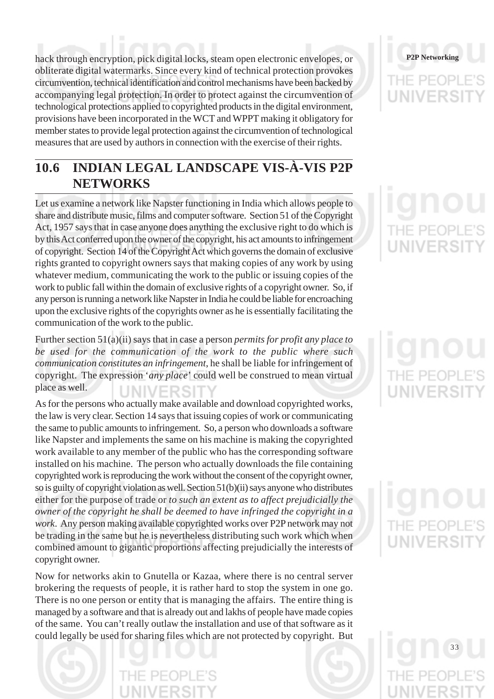hack through encryption, pick digital locks, steam open electronic envelopes, or obliterate digital watermarks. Since every kind of technical protection provokes circumvention, technical identification and control mechanisms have been backed by accompanying legal protection. In order to protect against the circumvention of technological protections applied to copyrighted products in the digital environment, provisions have been incorporated in the WCT and WPPT making it obligatory for member states to provide legal protection against the circumvention of technological measures that are used by authors in connection with the exercise of their rights.

## **10.6 INDIAN LEGAL LANDSCAPE VIS-À-VIS P2P NETWORKS**

Let us examine a network like Napster functioning in India which allows people to share and distribute music, films and computer software. Section 51 of the Copyright Act, 1957 says that in case anyone does anything the exclusive right to do which is by this Act conferred upon the owner of the copyright, his act amounts to infringement of copyright. Section 14 of the Copyright Act which governs the domain of exclusive rights granted to copyright owners says that making copies of any work by using whatever medium, communicating the work to the public or issuing copies of the work to public fall within the domain of exclusive rights of a copyright owner. So, if any person is running a network like Napster in India he could be liable for encroaching upon the exclusive rights of the copyrights owner as he is essentially facilitating the communication of the work to the public.

Further section 51(a)(ii) says that in case a person *permits for profit any place to be used for the communication of the work to the public where such communication constitutes an infringement*, he shall be liable for infringement of copyright. The expression '*any place*' could well be construed to mean virtual place as well. JNIVERSI

As for the persons who actually make available and download copyrighted works, the law is very clear. Section 14 says that issuing copies of work or communicating the same to public amounts to infringement. So, a person who downloads a software like Napster and implements the same on his machine is making the copyrighted work available to any member of the public who has the corresponding software installed on his machine. The person who actually downloads the file containing copyrighted work is reproducing the work without the consent of the copyright owner, so is guilty of copyright violation as well. Section 51(b)(ii) says anyone who distributes either for the purpose of trade or *to such an extent as to affect prejudicially the owner of the copyright he shall be deemed to have infringed the copyright in a work*. Any person making available copyrighted works over P2P network may not be trading in the same but he is nevertheless distributing such work which when combined amount to gigantic proportions affecting prejudicially the interests of copyright owner.

Now for networks akin to Gnutella or Kazaa, where there is no central server brokering the requests of people, it is rather hard to stop the system in one go. There is no one person or entity that is managing the affairs. The entire thing is managed by a software and that is already out and lakhs of people have made copies of the same. You can't really outlaw the installation and use of that software as it could legally be used for sharing files which are not protected by copyright. But

## **P2P Networking** THE PEOP UNIVERS

## UNIVERSI

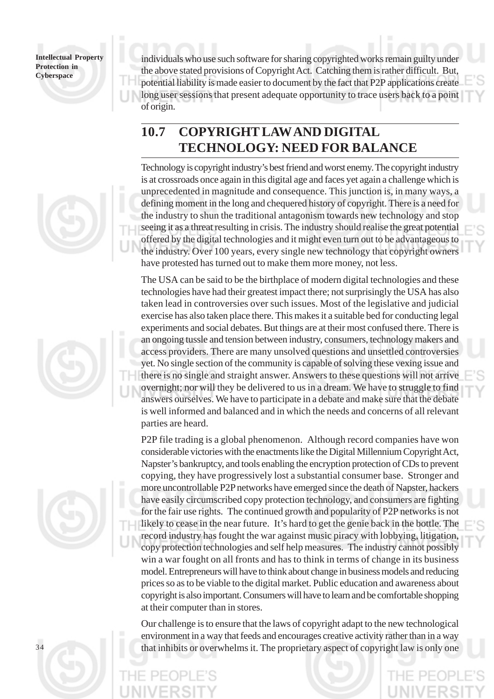

## **10.7 COPYRIGHT LAW AND DIGITAL TECHNOLOGY: NEED FOR BALANCE**

Technology is copyright industry's best friend and worst enemy. The copyright industry is at crossroads once again in this digital age and faces yet again a challenge which is unprecedented in magnitude and consequence. This junction is, in many ways, a defining moment in the long and chequered history of copyright. There is a need for the industry to shun the traditional antagonism towards new technology and stop seeing it as a threat resulting in crisis. The industry should realise the great potential offered by the digital technologies and it might even turn out to be advantageous to the industry. Over 100 years, every single new technology that copyright owners have protested has turned out to make them more money, not less.

The USA can be said to be the birthplace of modern digital technologies and these technologies have had their greatest impact there; not surprisingly the USA has also taken lead in controversies over such issues. Most of the legislative and judicial exercise has also taken place there. This makes it a suitable bed for conducting legal experiments and social debates. But things are at their most confused there. There is an ongoing tussle and tension between industry, consumers, technology makers and access providers. There are many unsolved questions and unsettled controversies yet. No single section of the community is capable of solving these vexing issue and there is no single and straight answer. Answers to these questions will not arrive overnight; nor will they be delivered to us in a dream. We have to struggle to find answers ourselves. We have to participate in a debate and make sure that the debate is well informed and balanced and in which the needs and concerns of all relevant parties are heard.

P2P file trading is a global phenomenon. Although record companies have won considerable victories with the enactments like the Digital Millennium Copyright Act, Napster's bankruptcy, and tools enabling the encryption protection of CDs to prevent copying, they have progressively lost a substantial consumer base. Stronger and more uncontrollable P2P networks have emerged since the death of Napster, hackers have easily circumscribed copy protection technology, and consumers are fighting for the fair use rights. The continued growth and popularity of P2P networks is not likely to cease in the near future. It's hard to get the genie back in the bottle. The record industry has fought the war against music piracy with lobbying, litigation, copy protection technologies and self help measures. The industry cannot possibly win a war fought on all fronts and has to think in terms of change in its business model. Entrepreneurs will have to think about change in business models and reducing prices so as to be viable to the digital market. Public education and awareness about copyright is also important. Consumers will have to learn and be comfortable shopping at their computer than in stores.

Our challenge is to ensure that the laws of copyright adapt to the new technological environment in a way that feeds and encourages creative activity rather than in a way that inhibits or overwhelms it. The proprietary aspect of copyright law is only one